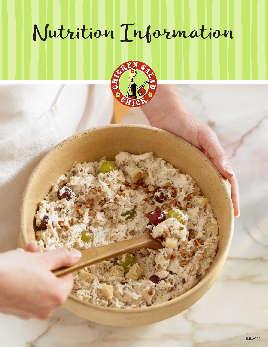# Nutrition Information

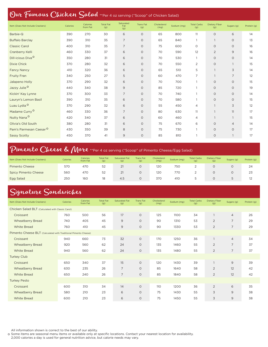## Our Famous Chicken Salad \*\*Per 4 oz serving ("Scoop" of Chicken Salad)

| Item (Does Not Include Crackers)   | Calories | Calories<br>from Fat | <b>Total Fat</b><br>(g) | Saturated<br>Fat<br>(g) | <b>Trans Fat</b><br>(g) | Cholesterol<br>(mg) | Sodium (mg) | <b>Total Carbs</b><br>(g) | <b>Dietary Fiber</b><br>(g) | Sugars (g)     | Protein (g) |
|------------------------------------|----------|----------------------|-------------------------|-------------------------|-------------------------|---------------------|-------------|---------------------------|-----------------------------|----------------|-------------|
| Barbie-Q                           | 390      | 270                  | 30                      | 6                       | $\circ$                 | 65                  | 800         | 11                        | $\circ$                     | 6              | 14          |
| <b>Buffalo Barclay</b>             | 390      | 310                  | 35                      | $\overline{7}$          | $\circ$                 | 65                  | 840         | 1                         | $\overline{1}$              | 0              | 13          |
| <b>Classic Carol</b>               | 400      | 310                  | 35                      | $\overline{7}$          | $\circ$                 | 75                  | 600         | $\circ$                   | $\circ$                     | $\circ$        | 16          |
| Cranberry Kelli                    | 460      | 330                  | 37                      | 6                       | $\circ$                 | 70                  | 590         | 12                        | 2                           | 9              | 16          |
| Dill-icious Diva <sup>O</sup>      | 350      | 280                  | 31                      | 6                       | $\circ$                 | 70                  | 530         | $\mathbf{1}$              | $\circ$                     | $\circ$        | 14          |
| <b>Dixie Chick</b>                 | 370      | 280                  | 32                      | 6                       | $\circ$                 | 70                  | 550         | $\overline{2}$            | $\circ$                     | $\mathbf{1}$   | 15          |
| <b>Fancy Nancy</b>                 | 410      | 320                  | 36                      | 6                       | $\circ$                 | 65                  | 510         | 5                         | $\overline{1}$              | 3              | 14          |
| <b>Fruity Fran</b>                 | 340      | 250                  | 27                      | 5                       | $\circ$                 | 60                  | 470         | $\overline{7}$            |                             | $\overline{7}$ | 12          |
| Jalapeno Holly                     | 370      | 290                  | 32                      | 6                       | $\circ$                 | 70                  | 700         | $\mathbf{1}$              | $\circ$                     | $\circ$        | 15          |
| Jazzy Julie <sup>O</sup>           | 440      | 340                  | 38                      | 9                       | $\circ$                 | 85                  | 720         |                           | $\circ$                     | 0              | 19          |
| Kickin' Kay Lynne                  | 370      | 300                  | 33                      | $\overline{7}$          | $\circ$                 | 70                  | 740         |                           | $\circ$                     | 0              | 14          |
| Lauryn's Lemon Basil               | 390      | 310                  | 35                      | 6                       | $\circ$                 | 70                  | 580         |                           | $\circ$                     | $\circ$        | 15          |
| Luau Lydia <sup>O</sup>            | 370      | 290                  | 32                      | 6                       | $\circ$                 | 55                  | 450         | 4                         | $\overline{1}$              | 3              | 12          |
| Madame Curry <sup>O</sup>          | 460      | 330                  | 36                      | 7                       | $\circ$                 | 80                  | 630         | 11                        | $\overline{1}$              | 11             | 17          |
| Nutty Nana <sup>O</sup>            | 420      | 340                  | 37                      | 6                       | $\circ$                 | 60                  | 460         | 4                         |                             | $\mathbf{1}$   | 15          |
| Olivia's Old South                 | 380      | 280                  | 31                      | 6                       | $\circ$                 | 75                  | 670         | 6                         | $\circ$                     | $\overline{4}$ | 14          |
| Pam's Parmesan Caesar <sup>O</sup> | 430      | 350                  | 39                      | 8                       | $\circ$                 | 75                  | 730         |                           | $\circ$                     | $\circ$        | 17          |
| <b>Sassy Scotty</b>                | 450      | 370                  | 41                      | 9                       | $\circ$                 | 85                  | 810         |                           | $\circ$                     | $\mathbf{1}$   | 17          |

## Pimento Cheese & More \*\*Per 4 oz serving ("Scoop" of Pimento Cheese/Egg Salad)

| Item (Does Not Include Crackers) | <b>Calories</b> | <b>Calories</b><br>from Fat | <b>Total Fat</b><br>(g) | Saturated Fat<br>(g) | <b>Trans Fat</b><br>(g) | Cholesterol<br>(mg) | Sodium (mg) | <b>Total Carbs</b><br>(g) | Dietary Fiber<br>(g) | Sugars (g) | Protein (g) |
|----------------------------------|-----------------|-----------------------------|-------------------------|----------------------|-------------------------|---------------------|-------------|---------------------------|----------------------|------------|-------------|
| Pimento Cheese                   | 570             | 470                         | 52                      | 21                   |                         | 120                 | 750         |                           |                      |            | 24          |
| <b>Spicy Pimento Cheese</b>      | 560             | 470                         | 52                      |                      |                         | 120                 | 770         |                           |                      |            | 23          |
| Egg Salad                        | 250             | 160                         | 18                      | 4.5                  |                         | 370                 | 410         |                           |                      |            | 12          |

#### Signature Sandwiches

| Item (Does Not Include Crackers)                                | Calories | Calories<br>from Fat | <b>Total Fat</b><br>(g) | <b>Saturated Fat</b><br>(g) | <b>Trans Fat</b><br>(g) | Cholesterol<br>(mg) | Sodium (mg) | <b>Total Carbs</b><br>(g) | Dietary Fiber<br>(g) | Sugars (g)     | Protein (g) |
|-----------------------------------------------------------------|----------|----------------------|-------------------------|-----------------------------|-------------------------|---------------------|-------------|---------------------------|----------------------|----------------|-------------|
| Chicken Salad BLT (Calculated with Classic Carol)               |          |                      |                         |                             |                         |                     |             |                           |                      |                |             |
| Croissant                                                       | 760      | 500                  | 56                      | 17                          | $\circ$                 | 125                 | 1100        | 34                        |                      | $\overline{4}$ | 26          |
| <b>Wheatberry Bread</b>                                         | 740      | 405                  | 45                      | 9                           | $\circ$                 | 90                  | 1310        | 53                        | $\overline{2}$       | $\overline{7}$ | 29          |
| <b>White Bread</b>                                              | 760      | 410                  | 45                      | 9                           | $\circ$                 | 90                  | 1330        | 53                        | $\overline{2}$       | $\overline{7}$ | 29          |
| Pimento Cheese BLT (Calculated with Traditional Pimento Cheese) |          |                      |                         |                             |                         |                     |             |                           |                      |                |             |
| Croissant                                                       | 940      | 660                  | 73                      | 32                          | $\circ$                 | 170                 | 1250        | 36                        | $\overline{1}$       | $\overline{4}$ | 34          |
| <b>Wheatberry Bread</b>                                         | 920      | 560                  | 62                      | 24                          | $\circ$                 | 135                 | 1460        | 55                        | $\overline{2}$       | $\overline{7}$ | 37          |
| <b>White Bread</b>                                              | 940      | 560                  | 62                      | 24                          | $\circ$                 | 135                 | 1480        | 55                        | $\overline{2}$       | $\overline{7}$ | 37          |
| <b>Turkey Club</b>                                              |          |                      |                         |                             |                         |                     |             |                           |                      |                |             |
| Croissant                                                       | 650      | 340                  | 37                      | 15                          | $\circ$                 | 120                 | 1430        | 39                        |                      | $\mathsf 9$    | 39          |
| <b>Wheatberry Bread</b>                                         | 630      | 235                  | 26                      | $\overline{7}$              | $\circ$                 | 85                  | 1640        | 58                        | $\overline{2}$       | 12             | 42          |
| <b>White Bread</b>                                              | 650      | 240                  | 26                      | $\overline{7}$              | $\circ$                 | 85                  | 1840        | 58                        | $\overline{2}$       | 12             | 42          |
| <b>Turkey Pesto</b>                                             |          |                      |                         |                             |                         |                     |             |                           |                      |                |             |
| Croissant                                                       | 600      | 310                  | 34                      | 14                          | $\circ$                 | 110                 | 1200        | 36                        | $\overline{2}$       | 6              | 35          |
| <b>Wheatberry Bread</b>                                         | 580      | 210                  | 23                      | 6                           | $\circ$                 | 75                  | 1430        | 55                        | 3                    | 9              | 38          |
| <b>White Bread</b>                                              | 600      | 210                  | 23                      | 6                           | $\circ$                 | 75                  | 1450        | 55                        | 3                    | 9              | 38          |

All information shown is correct to the best of our ability.

o Some items are seasonal menu items or available only at specific locations. Contact your nearest location for availability.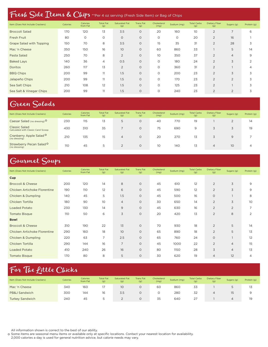## Fresh Side Items & Chips \*\*Per 4 oz serving (Fresh Side Item) or Bag of Chips

| Item (Does Not Include Crackers) | Calories | Calories<br>from Fat | <b>Total Fat</b><br>(g) | <b>Saturated Fat</b><br>(g) | <b>Trans Fat</b><br>(g) | Cholesterol<br>(mg) | Sodium (mg) | <b>Total Carbs</b><br>(g) | <b>Dietary Fiber</b><br>(g) | Sugars (g)     | Protein (g)    |
|----------------------------------|----------|----------------------|-------------------------|-----------------------------|-------------------------|---------------------|-------------|---------------------------|-----------------------------|----------------|----------------|
| <b>Broccoli Salad</b>            | 170      | 120                  | 13                      | 3.5                         | $\circ$                 | 20                  | 160         | 10                        | 2                           | $\overline{7}$ | 6              |
| <b>Fresh Fruit</b>               | 80       | $\circ$              | $\circ$                 | $\circ$                     | $\circ$                 | $\circ$             | $\circ$     | 20                        | 2                           | 16             |                |
| Grape Salad with Topping         | 150      | 70                   | 8                       | 3.5                         | $\circ$                 | 15                  | 35          | 31                        | $\overline{2}$              | 28             | 3              |
| Mac 'n Cheese                    | 350      | 150                  | 16                      | 10                          | $\circ$                 | 60                  | 860         | 33                        |                             | 5              | 14             |
| Pasta Salad                      | 250      | 70                   | 8                       | 2                           | $\circ$                 | 10                  | 350         | 37                        | $\overline{2}$              | $\overline{4}$ | 9              |
| <b>Baked Lays</b>                | 140      | 36                   | $\overline{4}$          | 0.5                         | $\circ$                 | $\circ$             | 180         | 24                        | $\overline{2}$              | 3              | 2              |
| <b>Doritos</b>                   | 260      | 117                  | 13                      | $\overline{2}$              | $\circ$                 | $\circ$             | 360         | 31                        | 2                           |                | $\overline{4}$ |
| <b>BBQ Chips</b>                 | 200      | 99                   | 11                      | 1.5                         | $\circ$                 | $\circ$             | 200         | 23                        | $\overline{2}$              | 3              | 3              |
| Jalapeño Chips                   | 200      | 99                   | 11                      | 1.5                         | $\circ$                 | $\circ$             | 170         | 23                        | 2                           | $\overline{2}$ | 3              |
| Sea Salt Chips                   | 210      | 108                  | 12                      | 1.5                         | $\circ$                 | $\circ$             | 125         | 23                        | 2                           |                | 3              |
| Sea Salt & Vinegar Chips         | 200      | 99                   | 11                      | 1.5                         | $\circ$                 | $\circ$             | 240         | 23                        | 2                           | $\overline{2}$ | 3              |

#### Green Salads

| Item (Does Not Include Crackers)                            | Calories | <b>Calories</b><br>from Fat | <b>Total Fat</b><br>(g) | <b>Saturated Fat</b><br>(g) | <b>Trans Fat</b><br>(g) | Cholesterol<br>(mg) | Sodium (mg) | <b>Total Carbs</b><br>(g) | Dietary Fiber<br>(g) | Sugars (g) | Protein (g) |
|-------------------------------------------------------------|----------|-----------------------------|-------------------------|-----------------------------|-------------------------|---------------------|-------------|---------------------------|----------------------|------------|-------------|
| Caesar Salad (no dressing) <sup>O</sup>                     | 230      | 115                         | 13                      | 5                           | $\circ$                 | 40                  | 770         | 19                        |                      |            | 14          |
| <b>Classic Salad</b><br>Calculated with Classic Carol Scoop | 430      | 310                         | 35                      |                             | $\Omega$                | 75                  | 690         | 9                         |                      |            | 19          |
| Cranberry Apple Salad <sup>O</sup><br>(no dressing)         | 210      | 135                         | 15                      | 4                           | $\circ$                 | 20                  | 270         | 13                        |                      | 9          |             |
| Strawberry Pecan Salad <sup>O</sup><br>(no dressing)        | 110      | 45                          | 5                       |                             | $\circ$                 | 10                  | 140         | 13                        | 4                    | 10         | 4           |

#### Gourmet Soups

| Item (Does Not Include Crackers) | <b>Calories</b> | Calories<br>from Fat | <b>Total Fat</b><br>(g) | <b>Saturated Fat</b><br>(g) | <b>Trans Fat</b><br>(g) | Cholesterol<br>(mg) | Sodium (mg) | <b>Total Carbs</b><br>(g) | <b>Dietary Fiber</b><br>(g) | Sugars (g)     | Protein (g) |
|----------------------------------|-----------------|----------------------|-------------------------|-----------------------------|-------------------------|---------------------|-------------|---------------------------|-----------------------------|----------------|-------------|
| Cup                              |                 |                      |                         |                             |                         |                     |             |                           |                             |                |             |
| <b>Broccoli &amp; Cheese</b>     | 200             | 120                  | 14                      | 8                           | $\circ$                 | 45                  | 610         | 12                        | $\overline{2}$              | 3              | 9           |
| Chicken Artichoke Florentine     | 190             | 110                  | 12                      | 6                           | $\circ$                 | 45                  | 590         | 12                        | $\overline{2}$              | 3              | 9           |
| <b>Chicken &amp; Dumpling</b>    | 140             | 45                   | 5                       | 1.5                         | $\circ$                 | 45                  | 500         | 16                        | $\circ$                     |                | 8           |
| Chicken Tortilla                 | 180             | 90                   | 10                      | $\overline{4}$              | $\circ$                 | 30                  | 650         | 14                        | $\overline{2}$              | 3              | 10          |
| <b>Loaded Potato</b>             | 230             | 130                  | 14                      | 9                           | $\circ$                 | 45                  | 630         | 16                        | $\overline{2}$              | $\overline{2}$ | 7           |
| <b>Tomato Bisque</b>             | 110             | 50                   | 6                       | 3                           | $\circ$                 | 20                  | 420         | 13                        | 2                           | 8              | 2           |
| <b>Bowl</b>                      |                 |                      |                         |                             |                         |                     |             |                           |                             |                |             |
| <b>Broccoli &amp; Cheese</b>     | 310             | 190                  | 22                      | 13                          | $\circ$                 | 70                  | 930         | 18                        | $\overline{2}$              | 5              | 14          |
| Chicken Artichoke Florentine     | 290             | 160                  | 18                      | 10 <sup>°</sup>             | $\circ$                 | 65                  | 890         | 18                        | 2                           | 5              | 13          |
| Chicken & Dumpling               | 220             | 63                   | 7                       | 2.5                         | $\circ$                 | 65                  | 760         | 24                        | $\circ$                     |                | 12          |
| Chicken Tortilla                 | 290             | 144                  | 16                      | $\overline{7}$              | $\circ$                 | 45                  | 1000        | 22                        | 2                           | $\overline{4}$ | 15          |
| <b>Loaded Potato</b>             | 410             | 240                  | 26                      | 16                          | $\circ$                 | 80                  | 1150        | 28                        | 3                           | $\overline{4}$ | 13          |
| <b>Tomato Bisque</b>             | 170             | 80                   | 8                       | 5                           | $\circ$                 | 30                  | 620         | 19                        | 4                           | 12             | 4           |
|                                  |                 |                      |                         |                             |                         |                     |             |                           |                             |                |             |

## For The Little Chicks

| Item (Does Not Include Crackers) | <b>Calories</b> | Calories<br>from Fat | <b>Total Fat</b><br>(g) | <b>Saturated Fat</b><br>(g) | <b>Trans Fat</b><br>(g) | Cholesterol<br>(mg) | Sodium (mg) | <b>Total Carbs</b><br>(g) | Dietary Fiber<br>(g) | Sugars (g) | Protein (g) |
|----------------------------------|-----------------|----------------------|-------------------------|-----------------------------|-------------------------|---------------------|-------------|---------------------------|----------------------|------------|-------------|
| Mac 'n Cheese                    | 340             | 160                  | 17                      | 10                          | O                       | 60                  | 860         | 33                        |                      |            | 13          |
| PB&J Sandwich                    | 300             | 144                  | 16                      | 3.5                         | O                       |                     | 280         | 32                        |                      |            | 9           |
| <b>Turkey Sandwich</b>           | 240             | 45                   |                         |                             | $\circ$                 | 35                  | 640         | 27                        |                      | 4          | 19          |

All information shown is correct to the best of our ability.

o Some items are seasonal menu items or available only at specific locations. Contact your nearest location for availability.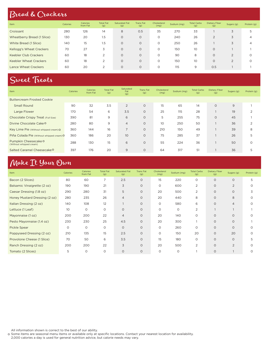#### Bread & Crackers

| Item                         | Calories | <b>Calories</b><br>from Fat | <b>Total Fat</b><br>(g) | <b>Saturated Fat</b><br>(g) | <b>Trans Fat</b><br>(g) | Cholesterol<br>(mg) | Sodium (mg) | <b>Total Carbs</b><br>(g) | Dietary Fiber<br>(g) | Sugars (g)     | Protein (g) |
|------------------------------|----------|-----------------------------|-------------------------|-----------------------------|-------------------------|---------------------|-------------|---------------------------|----------------------|----------------|-------------|
| Croissant                    | 280      | 126                         | 14                      | 8                           | 0.5                     | 35                  | 270         | 33                        |                      | 3              | 5           |
| Wheatberry Bread (1 Slice)   | 130      | 20                          | 1.5                     | $\Omega$                    | $\circ$                 | $\Omega$            | 240         | 26                        | $\overline{2}$       | 3              | 4           |
| White Bread (1 Slice)        | 140      | 15                          | 1.5                     | $\circ$                     | $\circ$                 | $\circ$             | 250         | 26                        |                      | 3              | 4           |
| Kellogg's Wheat Crackers     | 70       | 27                          | 3                       | $\Omega$                    | $\circ$                 | $\Omega$            | 150         | 10 <sup>°</sup>           | $\circ$              |                |             |
| <b>Keebler Club Crackers</b> | 60       | 18                          | 2                       | $\circ$                     | $\circ$                 | $\Omega$            | 90          | 8                         | $\circ$              | 2              | O           |
| Keebler Wheat Crackers       | 60       | 18                          | 2                       | $\Omega$                    | $\circ$                 | $\Omega$            | 150         | 10 <sup>°</sup>           | $\Omega$             | $\overline{2}$ | 0           |
| Lance Wheat Crackers         | 60       | 20                          | 2                       | $\Omega$                    | $\circ$                 | 0                   | 115         | 9                         | 0.5                  |                |             |

#### Sweet Treats

| Item                                            | Calories | Calories<br>from Fat | <b>Total Fat</b><br>(g) | Saturated<br>Fat<br>(g) | <b>Trans Fat</b><br>(g) | Cholesterol<br>(mg) | Sodium (mg) | <b>Total Carbs</b><br>(g) | Dietary Fiber<br>(g) | Sugars (g) | Protein (g)   |
|-------------------------------------------------|----------|----------------------|-------------------------|-------------------------|-------------------------|---------------------|-------------|---------------------------|----------------------|------------|---------------|
| <b>Buttercream Frosted Cookie</b>               |          |                      |                         |                         |                         |                     |             |                           |                      |            |               |
| <b>Small Round</b>                              | 90       | 32                   | 3.5                     | $\overline{2}$          | $\circ$                 | 15                  | 65          | 14                        | $\circ$              | 9          |               |
| Large Flower                                    | 170      | 54                   | 6                       | 3.5                     | $\circ$                 | 25                  | 115         | 28                        |                      | 19         | $\Omega$      |
| Chocolate Crispy Treat (Full Size)              | 390      | 81                   | 9                       | 6                       | $\circ$                 | 5                   | 255         | 75                        | $\circ$              | 45         |               |
| Divine Chocolate Cake O                         | 280      | 80                   | 9                       | $\overline{4}$          | $\circ$                 | 10                  | 250         | 50                        |                      | 36         | $\mathcal{P}$ |
| Key Lime Pie (Without whipped cream) O          | 360      | 144                  | 16                      | $\overline{7}$          | $\circ$                 | 210                 | 150         | 49                        |                      | 39         | 8             |
| Piña Colada Pie (Without whipped cream) O       | 360      | 186                  | 20                      | 10                      | $\circ$                 | 75                  | 285         | 37                        |                      | 26         | 5             |
| Pumpkin Cheesecake O<br>(Without whipped cream) | 288      | 130                  | 15                      | 6                       | $\circ$                 | 55                  | 224         | 36                        |                      | 50         | $\circ$       |
| Salted Caramel Cheesecake <sup>O</sup>          | 397      | 176                  | 20                      | 9                       | $\circ$                 | 64                  | 317         | 51                        |                      | 36         | כ             |

#### Make It Your Own

| Item                          | Calories | Calories<br>from Fat | <b>Total Fat</b><br>(g) | <b>Saturated Fat</b><br>(g) | <b>Trans Fat</b><br>(g) | Cholesterol<br>(mg) | Sodium (mg) | <b>Total Carbs</b><br>(g) | <b>Dietary Fiber</b><br>(g) | Sugars (g)     | Protein (g) |
|-------------------------------|----------|----------------------|-------------------------|-----------------------------|-------------------------|---------------------|-------------|---------------------------|-----------------------------|----------------|-------------|
| Bacon (2 Slices)              | 80       | 60                   | 7                       | 2.5                         | $\circ$                 | 15                  | 220         | $\circ$                   | $\circ$                     | $\circ$        | 5           |
| Balsamic Vinaigrette (2 oz)   | 190      | 190                  | 21                      | 3                           | $\circ$                 | $\circ$             | 600         | 2                         | $\circ$                     | 2              | O           |
| Caesar Dressing (1.8 oz)      | 290      | 280                  | 31                      | 5                           | $\circ$                 | 20                  | 500         | 2                         | $\circ$                     | 0              | 3           |
| Honey Mustard Dressing (2 oz) | 280      | 235                  | 26                      | $\overline{4}$              | $\circ$                 | 20                  | 440         | 8                         | $\circ$                     | 8              | $\Omega$    |
| Italian Dressing (2 oz)       | 140      | 108                  | 12                      |                             | $\circ$                 | $\circ$             | 580         | 6                         | $\circ$                     | $\overline{4}$ | ∩           |
| Lettuce (1 Leaf)              | 10       | O                    | $\circ$                 | $\circ$                     | $\circ$                 | $\circ$             | 0           | 2                         |                             |                |             |
| Mayonnaise (1 oz)             | 200      | 200                  | 22                      | $\overline{4}$              | $\circ$                 | 20                  | 140         | $\Omega$                  | $\circ$                     | $\circ$        |             |
| Pesto Mayonnaise (1.4 oz)     | 230      | 230                  | 25                      | 4.5                         | $\circ$                 | 20                  | 300         |                           | $\Omega$                    | $\circ$        |             |
| Pickle Spear                  | $\circ$  | $\circ$              | $\circ$                 | $\circ$                     | $\circ$                 | $\circ$             | 260         | $\circ$                   | $\circ$                     | $\circ$        |             |
| Poppyseed Dressing (2 oz)     | 210      | 135                  | 15                      | 2.5                         | $\circ$                 | $\circ$             | 150         | 20                        | $\circ$                     | 20             |             |
| Provolone Cheese (1 Slice)    | 70       | 50                   | 6                       | 3.5                         | $\circ$                 | 15                  | 180         | $\circ$                   | $\circ$                     | $\circ$        | 5           |
| Ranch Dressing (2 oz)         | 200      | 200                  | 22                      | 3                           | $\circ$                 | 20                  | 500         | 2                         | $\Omega$                    | 2              |             |
| Tomato (2 Slices)             | 5        | O                    | O                       | $\circ$                     | $\circ$                 | $\Omega$            | $\circ$     |                           | $\circ$                     |                |             |

All information shown is correct to the best of our ability.

o Some items are seasonal menu items or available only at specific locations. Contact your nearest location for availability.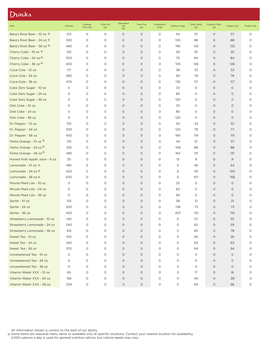#### Drinks

| Item                              | Calories | Calories<br>from Fat | <b>Total Fat</b><br>(g) | Saturated<br>Fat<br>(g) | Trans Fat<br>(g) | Cholesterol<br>(mg) | Sodium (mg) | <b>Total Carbs</b><br>(g) | <b>Dietary Fiber</b><br>(g) | Sugars (g) | Protein (g) |
|-----------------------------------|----------|----------------------|-------------------------|-------------------------|------------------|---------------------|-------------|---------------------------|-----------------------------|------------|-------------|
| Barg's Root Beer - 10 oz O        | 133      | $\circ$              | $\circ$                 | $\circ$                 | O                | O                   | 54          | 37                        | $\circ$                     | 37         | O           |
| Barg's Root Beer - 24 oz O        | 320      | 0                    | 0                       | $\circ$                 | O                | 0                   | 130         | 88                        | $\circ$                     | 88         | O           |
| Barq's Root Beer - 36 oz O        | 480      | 0                    | O                       | $\circ$                 | O                | 0                   | 195         | 132                       | $\circ$                     | 132        | O           |
| Cherry Coke - 10 oz O             | 125      | $\circ$              | 0                       | $\circ$                 | $\circ$          | 0                   | 29          | 35                        | $\circ$                     | 35         | $\circ$     |
| Cherry Coke - 24 oz <sup>O</sup>  | 300      | $\circ$              | $\circ$                 | $\circ$                 | $\circ$          | O                   | 70          | 84                        | $\circ$                     | 84         | $\circ$     |
| Cherry Coke - 36 oz O             | 450      | $\circ$              | $\circ$                 | $\circ$                 | $\circ$          | 0                   | 105         | 126                       | $\circ$                     | 126        | $\circ$     |
| Coca-Cola - 10 oz                 | 117      | $\circ$              | $\circ$                 | $\circ$                 | $\circ$          | 0                   | 38          | 33                        | $\circ$                     | 33         | 0           |
| Coca-Cola - 24 oz                 | 280      | $\circ$              | $\circ$                 | $\circ$                 | O                | O                   | 90          | 78                        | $\circ$                     | 78         | $\circ$     |
| Coca-Cola - 36 oz                 | 470      | $\circ$              | $\circ$                 | $\circ$                 | $\circ$          | O                   | 135         | 117                       | $\circ$                     | 117        | $\circ$     |
| Coke Zero Sugar - 10 oz           | O        | $\circ$              | O                       | $\circ$                 | $\circ$          | O                   | 33          | O                         | $\circ$                     | $\circ$    | O           |
| Coke Zero Sugar - 24 oz           | O        | $\circ$              | O                       | $\circ$                 | O                | 0                   | 80          | 0                         | $\circ$                     | $\circ$    | 0           |
| Coke Zero Sugar - 36 oz           | O        | 0                    | 0                       | $\circ$                 | O                | 0                   | 120         | O                         | $\circ$                     | $\circ$    | O           |
| Diet Coke - 10 oz                 | O        | 0                    | 0                       | $\circ$                 | O                | O                   | 33          | 0                         | $\circ$                     | $\circ$    | O           |
| Diet Coke - 24 oz                 | O        | 0                    | 0                       | $\circ$                 | O                | O                   | 80          | O                         | $\circ$                     | $\circ$    | $\circ$     |
| Diet Coke - 36 oz                 | O        | $\circ$              | $\circ$                 | $\circ$                 | O                | O                   | 120         | 0                         | $\circ$                     | $\circ$    | $\circ$     |
| Dr. Pepper - 10 oz                | 125      | 0                    | 0                       | $\circ$                 | O                | O                   | 50          | 33                        | $\circ$                     | 32         | $\circ$     |
| Dr. Pepper - 24 oz                | 300      | 0                    | 0                       | $\circ$                 | O                | O                   | 120         | 79                        | $\circ$                     | 77         | O           |
| Dr. Pepper - 36 oz                | 450      | 0                    | O                       | $\circ$                 | O                | O                   | 180         | 119                       | $\circ$                     | 115        | $\circ$     |
| Fanta Orange - 10 oz O            | 135      | $\circ$              | $\circ$                 | $\circ$                 | $\circ$          | O                   | 45          | 37                        | $\circ$                     | 37         | O           |
| Fanta Orange - 24 oz <sup>O</sup> | 325      | $\circ$              | $\circ$                 | $\circ$                 | $\circ$          | O                   | 108         | 88                        | $\circ$                     | 88         | O           |
| Fanta Orange - 36 oz <sup>O</sup> | 485      | $\circ$              | 0                       | $\circ$                 | $\circ$          | 0                   | 162         | 131                       | $\circ$                     | 131        | 0           |
| Honest Kids Apple Juice - 6 oz    | 35       | $\circ$              | $\circ$                 | $\circ$                 | $\circ$          | 0                   | 15          | 9                         | $\circ$                     | 9          | 0           |
| Lemonade - 10 oz O                | 180      | $\circ$              | $\circ$                 | $\circ$                 | O                | 0                   | 0           | 46                        | $\circ$                     | 44         | O           |
| Lemonade - 24 oz O                | 420      | $\circ$              | O                       | $\circ$                 | $\circ$          | O                   | 0           | 110                       | $\circ$                     | 105        | 0           |
| Lemonade - 36 oz O                | 630      | $\circ$              | 0                       | $\circ$                 | O                | O                   | 0           | 167                       | $\circ$                     | 158        | 0           |
| Minute Maid Lite - 10 oz          | O        | 0                    | $\circ$                 | $\circ$                 | O                | O                   | 25          | 0                         | $\circ$                     | $\circ$    | $\circ$     |
| Minute Maid Lite - 24 oz          | O        | 0                    | 0                       | $\circ$                 | O                | O                   | 60          | 0                         | $\circ$                     | $\circ$    | $\circ$     |
| Minute Maid Lite - 36 oz          | 0        | 0                    | 0                       | $\circ$                 | O                | O                   | 90          | 0                         | $\circ$                     | $\circ$    | O           |
| Sprite - 10 oz                    | 125      | 0                    | 0                       | $\circ$                 | O                | O                   | 58          | 31                        | $\circ$                     | 31         | $\circ$     |
| Sprite - 24 oz                    | 300      | $\circ$              | $\circ$                 | $\circ$                 | O                | 0                   | 138         | 73                        | $\circ$                     | 73         | O           |
| Sprite - 36 oz                    | 450      | $\circ$              | $\circ$                 | $\circ$                 | $\circ$          | O                   | 207         | 110                       | $\circ$                     | 110        | 0           |
| Strawberry Lemonade - 10 oz       | 140      | $\circ$              | $\circ$                 | $\circ$                 | $\circ$          | 0                   | $\circ$     | 37                        | $\circ$                     | 35         | O           |
| Strawberry Lemonade - 24 oz       | 240      | 0                    | 0                       | O                       | O                | O                   | 0           | 62                        | $\circ$                     | 59         | 0           |
| Strawberry Lemonade - 36 oz       | 310      | $\circ$              | $\circ$                 | $\circ$                 | $\circ$          | 0                   | O           | 83                        | $\circ$                     | 78         | O           |
| Sweet Tea - 10 oz                 | 100      | $\circ$              | 0                       | $\circ$                 | $\circ$          | 0                   | 0           | 26                        | $\circ$                     | 26         | O           |
| Sweet Tea - 24 oz                 | 240      | 0                    | 0                       | $\circ$                 | 0                | 0                   | 0           | 63                        | $\circ$                     | 63         | O           |
| Sweet Tea - 36 oz                 | 370      | $\circ$              | $\circ$                 | $\circ$                 | $\circ$          | O                   | 0           | 94                        | $\circ$                     | 94         | 0           |
| Unsweetened Tea - 10 oz           | 0        | $\circ$              | 0                       | $\circ$                 | $\circ$          | O                   | 0           | 0                         | $\circ$                     | $\circ$    | 0           |
| Unsweetened Tea - 24 oz           | O        | $\circ$              | $\circ$                 | $\circ$                 | $\circ$          | O                   | 0           | 0                         | $\circ$                     | $\circ$    | 0           |
| Unsweetened Tea - 36 oz           | 0        | 0                    | 0                       | $\circ$                 | 0                | 0                   | 0           | 0                         | $\circ$                     | $\circ$    | 0           |
| Vitamin Water XXX - 10 oz         | 65       | 0                    | $\circ$                 | $\circ$                 | $\circ$          | 0                   | 0           | 17                        | $\circ$                     | 16         | 0           |
| Vitamin Water XXX - 24 oz         | 156      | O                    | O                       | $\circ$                 | 0                | O                   | 0           | 40                        | $\circ$                     | 38         | O           |
| Vitamin Water XXX - 36 oz         | 234      | O                    | O                       | $\circ$                 | O                | O                   | 0           | 60                        | $\circ$                     | 58         | O           |

All information shown is correct to the best of our ability.

Some items are seasonal menu items or available only at specific locations. Contact your nearest location for availability.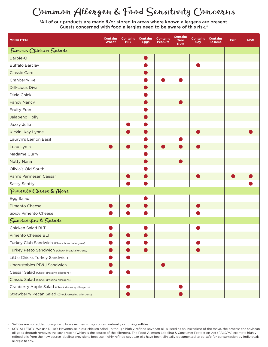# Common Allergen & Food Sensitivity Concerns

\*All of our products are made &/or stored in areas where known allergens are present. Guests concerned with food allergies need to be aware of this risk.\*

| <b>MENU ITEM</b>                                  | <b>Contains</b><br><b>Wheat</b> | <b>Contains</b><br><b>Milk</b> | <b>Contains</b><br><b>Eggs</b> | <b>Contains</b><br><b>Peanuts</b> | <b>Contains</b><br><b>Tree</b><br><b>Nuts</b> | <b>Contains</b><br>Soy | <b>Contains</b><br><b>Sesame</b> | Fish | <b>MSG</b> |
|---------------------------------------------------|---------------------------------|--------------------------------|--------------------------------|-----------------------------------|-----------------------------------------------|------------------------|----------------------------------|------|------------|
| Famous Chicken Salads                             |                                 |                                |                                |                                   |                                               |                        |                                  |      |            |
| Barbie-Q                                          |                                 |                                |                                |                                   |                                               |                        |                                  |      |            |
| <b>Buffalo Barclay</b>                            |                                 |                                |                                |                                   |                                               |                        |                                  |      |            |
| <b>Classic Carol</b>                              |                                 |                                |                                |                                   |                                               |                        |                                  |      |            |
| Cranberry Kelli                                   |                                 |                                |                                |                                   |                                               |                        |                                  |      |            |
| <b>Dill-cious Diva</b>                            |                                 |                                |                                |                                   |                                               |                        |                                  |      |            |
| Dixie Chick                                       |                                 |                                |                                |                                   |                                               |                        |                                  |      |            |
| <b>Fancy Nancy</b>                                |                                 |                                |                                |                                   |                                               |                        |                                  |      |            |
| Fruity Fran                                       |                                 |                                |                                |                                   |                                               |                        |                                  |      |            |
| Jalapeño Holly                                    |                                 |                                |                                |                                   |                                               |                        |                                  |      |            |
| Jazzy Julie                                       |                                 |                                |                                |                                   |                                               |                        |                                  |      |            |
| Kickin' Kay Lynne                                 |                                 |                                |                                |                                   |                                               |                        |                                  |      |            |
| Lauryn's Lemon Basil                              |                                 |                                |                                |                                   |                                               |                        |                                  |      |            |
| Luau Lydia                                        |                                 |                                |                                |                                   |                                               |                        |                                  |      |            |
| Madame Curry                                      |                                 |                                |                                |                                   |                                               |                        |                                  |      |            |
| <b>Nutty Nana</b>                                 |                                 |                                |                                |                                   |                                               |                        |                                  |      |            |
| Olivia's Old South                                |                                 |                                |                                |                                   |                                               |                        |                                  |      |            |
| Pam's Parmesan Caesar                             |                                 |                                |                                |                                   |                                               |                        |                                  |      |            |
| Sassy Scotty                                      |                                 |                                |                                |                                   |                                               |                        |                                  |      |            |
| Pimento Cheese & More                             |                                 |                                |                                |                                   |                                               |                        |                                  |      |            |
| Egg Salad                                         |                                 |                                |                                |                                   |                                               |                        |                                  |      |            |
| <b>Pimento Cheese</b>                             |                                 |                                |                                |                                   |                                               |                        |                                  |      |            |
| Spicy Pimento Cheese                              |                                 |                                |                                |                                   |                                               |                        |                                  |      |            |
| Sandwiches & Salads                               |                                 |                                |                                |                                   |                                               |                        |                                  |      |            |
| Chicken Salad BLT                                 |                                 |                                |                                |                                   |                                               |                        |                                  |      |            |
| Pimento Cheese BLT                                |                                 |                                |                                |                                   |                                               |                        |                                  |      |            |
| Turkey Club Sandwich (Check bread allergens)      |                                 |                                |                                |                                   |                                               |                        |                                  |      |            |
| Turkey Pesto Sandwich (Check bread allergens)     |                                 |                                |                                |                                   |                                               |                        |                                  |      |            |
| Little Chicks Turkey Sandwich                     |                                 |                                |                                |                                   |                                               |                        |                                  |      |            |
| Uncrustables PB&J Sandwich                        |                                 |                                |                                |                                   |                                               |                        |                                  |      |            |
| Caesar Salad (Check dressing allergens)           |                                 |                                |                                |                                   |                                               |                        |                                  |      |            |
| Classic Salad (Check dressing allergens)          |                                 |                                |                                |                                   |                                               |                        |                                  |      |            |
| Cranberry Apple Salad (Check dressing allergens)  |                                 |                                |                                |                                   |                                               |                        |                                  |      |            |
| Strawberry Pecan Salad (Check dressing allergens) |                                 |                                |                                |                                   |                                               |                        |                                  |      |            |

• Sulfites are not added to any item, however, items may contain naturally occurring sulfites.

• SOY ALLERGY: We use Duke's Mayonnaise in our chicken salad - although highly-refined soybean oil is listed as an ingredient of the mayo, the process the soybean oil goes through removes the soy protein (which is the source of the allergen). The Food Allergen Labeling & Consumer Protection Act (FALCPA) exempts highlyrefined oils from the new source labeling provisions because highly refined soybean oils have been clinically documented to be safe for consumption by individuals allergic to soy.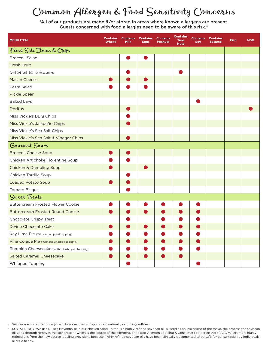# Common Allergen & Food Sensitivity Concerns

\*All of our products are made &/or stored in areas where known allergens are present. Guests concerned with food allergies need to be aware of this risk.\*

| <b>MENU ITEM</b>                             | <b>Contains</b><br>Wheat | <b>Contains</b><br><b>Milk</b> | <b>Contains</b><br>Eggs | <b>Contains</b><br><b>Peanuts</b> | <b>Contains</b><br><b>Tree</b><br><b>Nuts</b> | <b>Contains</b><br>Soy | <b>Contains</b><br>Sesame | <b>Fish</b> | <b>MSG</b> |
|----------------------------------------------|--------------------------|--------------------------------|-------------------------|-----------------------------------|-----------------------------------------------|------------------------|---------------------------|-------------|------------|
| Fresh Side Items & Chips                     |                          |                                |                         |                                   |                                               |                        |                           |             |            |
| <b>Broccoli Salad</b>                        |                          |                                |                         |                                   |                                               |                        |                           |             |            |
| <b>Fresh Fruit</b>                           |                          |                                |                         |                                   |                                               |                        |                           |             |            |
| Grape Salad (With topping)                   |                          |                                |                         |                                   |                                               |                        |                           |             |            |
| Mac 'n Cheese                                |                          |                                |                         |                                   |                                               |                        |                           |             |            |
| Pasta Salad                                  |                          |                                |                         |                                   |                                               |                        |                           |             |            |
| Pickle Spear                                 |                          |                                |                         |                                   |                                               |                        |                           |             |            |
| <b>Baked Lays</b>                            |                          |                                |                         |                                   |                                               |                        |                           |             |            |
| Doritos                                      |                          |                                |                         |                                   |                                               |                        |                           |             |            |
| Miss Vickie's BBQ Chips                      |                          |                                |                         |                                   |                                               |                        |                           |             |            |
| Miss Vickie's Jalapeño Chips                 |                          |                                |                         |                                   |                                               |                        |                           |             |            |
| Miss Vickie's Sea Salt Chips                 |                          |                                |                         |                                   |                                               |                        |                           |             |            |
| Miss Vickie's Sea Salt & Vinegar Chips       |                          |                                |                         |                                   |                                               |                        |                           |             |            |
| Gourmet Soups                                |                          |                                |                         |                                   |                                               |                        |                           |             |            |
| <b>Broccoli Cheese Soup</b>                  |                          |                                |                         |                                   |                                               |                        |                           |             |            |
| Chicken Artichoke Florentine Soup            |                          |                                |                         |                                   |                                               |                        |                           |             |            |
| <b>Chicken &amp; Dumpling Soup</b>           |                          |                                |                         |                                   |                                               |                        |                           |             |            |
| Chicken Tortilla Soup                        |                          |                                |                         |                                   |                                               |                        |                           |             |            |
| <b>Loaded Potato Soup</b>                    |                          |                                |                         |                                   |                                               |                        |                           |             |            |
| Tomato Bisque                                |                          |                                |                         |                                   |                                               |                        |                           |             |            |
| Sweet Treats                                 |                          |                                |                         |                                   |                                               |                        |                           |             |            |
| <b>Buttercream Frosted Flower Cookie</b>     |                          |                                |                         |                                   |                                               |                        |                           |             |            |
| <b>Buttercream Frosted Round Cookie</b>      |                          |                                |                         |                                   |                                               |                        |                           |             |            |
| Chocolate Crispy Treat                       |                          |                                |                         |                                   |                                               |                        |                           |             |            |
| <b>Divine Chocolate Cake</b>                 |                          |                                |                         |                                   |                                               |                        |                           |             |            |
| Key Lime Pie (Without whipped topping)       |                          |                                |                         |                                   |                                               |                        |                           |             |            |
| Piña Colada Pie (Without whipped topping)    |                          |                                |                         |                                   |                                               |                        |                           |             |            |
| Pumpkin Cheesecake (Without whipped topping) |                          |                                |                         |                                   |                                               |                        |                           |             |            |
| <b>Salted Caramel Cheesecake</b>             |                          |                                |                         |                                   |                                               |                        |                           |             |            |
| Whipped Topping                              |                          |                                |                         |                                   |                                               |                        |                           |             |            |

• Sulfites are not added to any item, however, items may contain naturally occurring sulfites.

• SOY ALLERGY: We use Duke's Mayonnaise in our chicken salad - although highly-refined soybean oil is listed as an ingredient of the mayo, the process the soybean oil goes through removes the soy protein (which is the source of the allergen). The Food Allergen Labeling & Consumer Protection Act (FALCPA) exempts highlyrefined oils from the new source labeling provisions because highly refined soybean oils have been clinically documented to be safe for consumption by individuals allergic to soy.